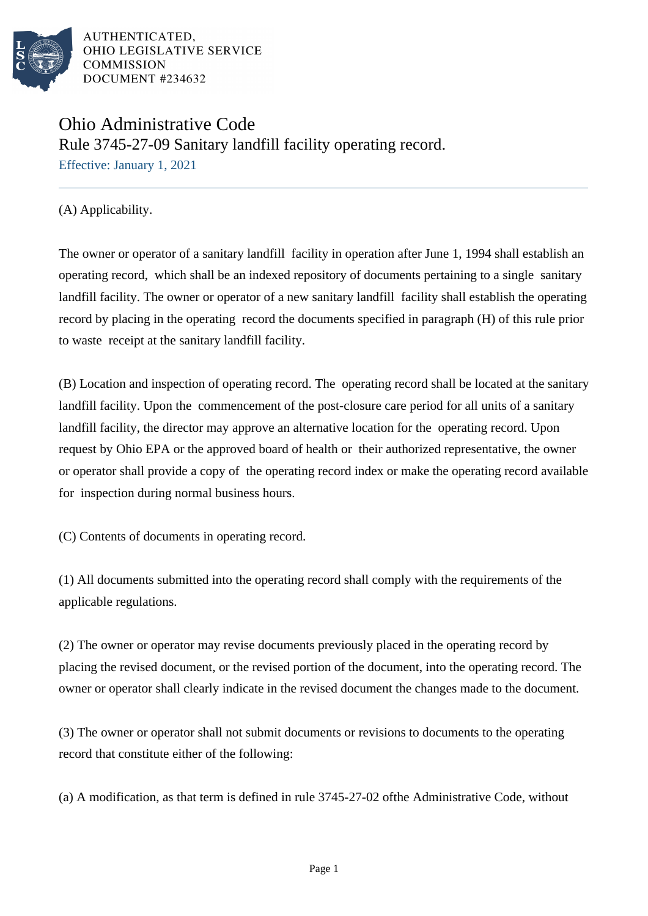

## Ohio Administrative Code Rule 3745-27-09 Sanitary landfill facility operating record.

Effective: January 1, 2021

(A) Applicability.

The owner or operator of a sanitary landfill facility in operation after June 1, 1994 shall establish an operating record, which shall be an indexed repository of documents pertaining to a single sanitary landfill facility. The owner or operator of a new sanitary landfill facility shall establish the operating record by placing in the operating record the documents specified in paragraph (H) of this rule prior to waste receipt at the sanitary landfill facility.

(B) Location and inspection of operating record. The operating record shall be located at the sanitary landfill facility. Upon the commencement of the post-closure care period for all units of a sanitary landfill facility, the director may approve an alternative location for the operating record. Upon request by Ohio EPA or the approved board of health or their authorized representative, the owner or operator shall provide a copy of the operating record index or make the operating record available for inspection during normal business hours.

(C) Contents of documents in operating record.

(1) All documents submitted into the operating record shall comply with the requirements of the applicable regulations.

(2) The owner or operator may revise documents previously placed in the operating record by placing the revised document, or the revised portion of the document, into the operating record. The owner or operator shall clearly indicate in the revised document the changes made to the document.

(3) The owner or operator shall not submit documents or revisions to documents to the operating record that constitute either of the following:

(a) A modification, as that term is defined in rule  $3745-27-02$  of the Administrative Code, without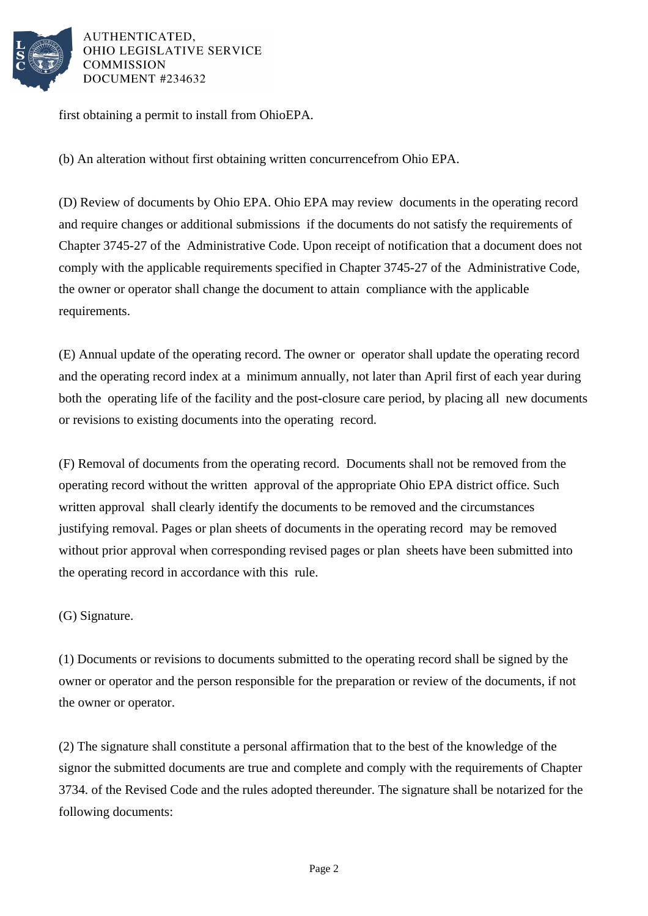

first obtaining a permit to install from Ohio EPA.

(b) An alteration without first obtaining written concurrence from Ohio EPA.

(D) Review of documents by Ohio EPA. Ohio EPA may review documents in the operating record and require changes or additional submissions if the documents do not satisfy the requirements of Chapter 3745-27 of the Administrative Code. Upon receipt of notification that a document does not comply with the applicable requirements specified in Chapter 3745-27 of the Administrative Code, the owner or operator shall change the document to attain compliance with the applicable requirements.

(E) Annual update of the operating record. The owner or operator shall update the operating record and the operating record index at a minimum annually, not later than April first of each year during both the operating life of the facility and the post-closure care period, by placing all new documents or revisions to existing documents into the operating record.

(F) Removal of documents from the operating record. Documents shall not be removed from the operating record without the written approval of the appropriate Ohio EPA district office. Such written approval shall clearly identify the documents to be removed and the circumstances justifying removal. Pages or plan sheets of documents in the operating record may be removed without prior approval when corresponding revised pages or plan sheets have been submitted into the operating record in accordance with this rule.

(G) Signature.

(1) Documents or revisions to documents submitted to the operating record shall be signed by the owner or operator and the person responsible for the preparation or review of the documents, if not the owner or operator.

(2) The signature shall constitute a personal affirmation that to the best of the knowledge of the signor the submitted documents are true and complete and comply with the requirements of Chapter 3734. of the Revised Code and the rules adopted thereunder. The signature shall be notarized for the following documents: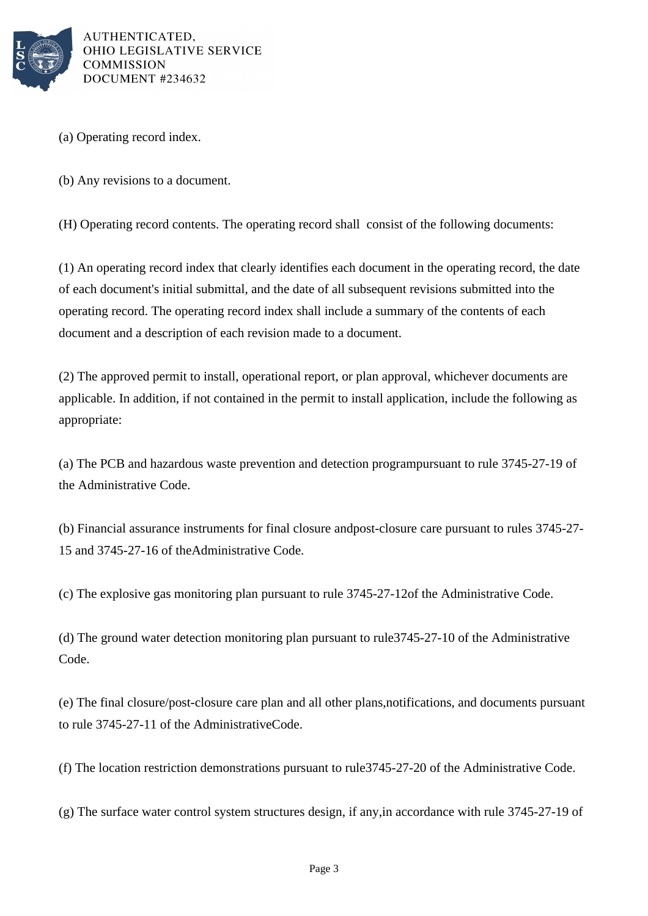

(a) Operating record index.

(b) Any revisions to a document.

(H) Operating record contents. The operating record shall consist of the following documents:

(1) An operating record index that clearly identifies each document in the operating record, the date of each document's initial submittal, and the date of all subsequent revisions submitted into the operating record. The operating record index shall include a summary of the contents of each document and a description of each revision made to a document.

(2) The approved permit to install, operational report, or plan approval, whichever documents are applicable. In addition, if not contained in the permit to install application, include the following as appropriate:

(a) The PCB and hazardous waste prevention and detection program pursuant to rule 3745-27-19 of the Administrative Code.

(b) Financial assurance instruments for final closure and post-closure care pursuant to rules 3745-27- 15 and 3745-27-16 of the Administrative Code.

(c) The explosive gas monitoring plan pursuant to rule 3745-27-12 of the Administrative Code.

(d) The ground water detection monitoring plan pursuant to rule 3745-27-10 of the Administrative Code.

(e) The final closure/post-closure care plan and all other plans, notifications, and documents pursuant to rule  $3745-27-11$  of the Administrative Code.

(f) The location restriction demonstrations pursuant to rule 3745-27-20 of the Administrative Code.

(g) The surface water control system structures design, if any, in accordance with rule 3745-27-19 of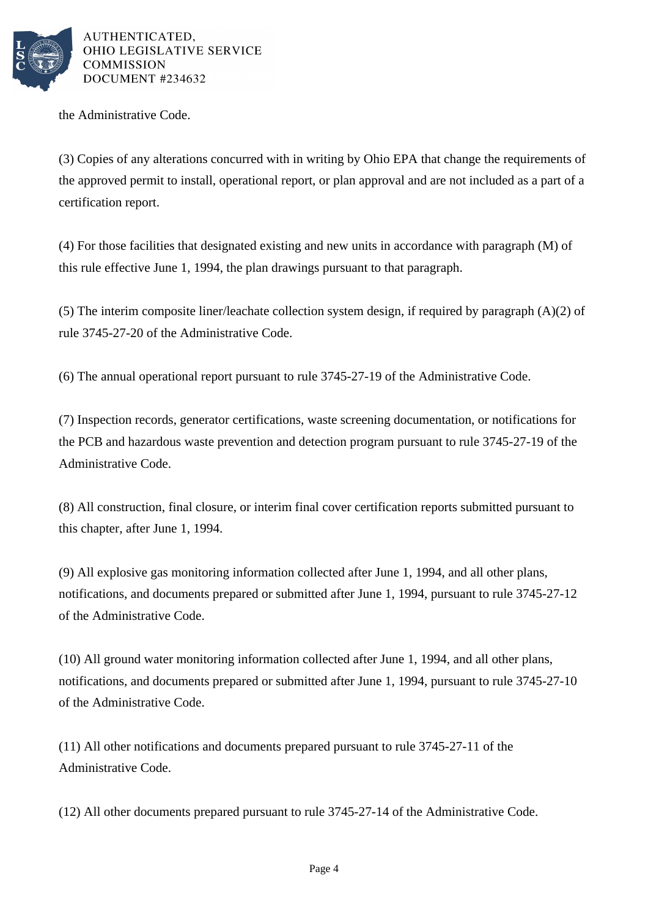

the Administrative Code.

(3) Copies of any alterations concurred with in writing by Ohio EPA that change the requirements of the approved permit to install, operational report, or plan approval and are not included as a part of a certification report.

(4) For those facilities that designated existing and new units in accordance with paragraph (M) of this rule effective June 1, 1994, the plan drawings pursuant to that paragraph.

(5) The interim composite liner/leachate collection system design, if required by paragraph  $(A)(2)$  of rule 3745-27-20 of the Administrative Code.

 $(6)$  The annual operational report pursuant to rule 3745-27-19 of the Administrative Code.

(7) Inspection records, generator certifications, waste screening documentation, or notifications for the PCB and hazardous waste prevention and detection program pursuant to rule 3745-27-19 of the Administrative Code.

(8) All construction, final closure, or interim final cover certification reports submitted pursuant to this chapter, after June 1, 1994.

(9) All explosive gas monitoring information collected after June 1, 1994, and all other plans, notifications, and documents prepared or submitted after June 1, 1994, pursuant to rule 3745-27-12 of the Administrative Code.

(10) All ground water monitoring information collected after June 1, 1994, and all other plans, notifications, and documents prepared or submitted after June 1, 1994, pursuant to rule 3745-27-10 of the Administrative Code.

 $(11)$  All other notifications and documents prepared pursuant to rule 3745-27-11 of the Administrative Code.

(12) All other documents prepared pursuant to rule 3745-27-14 of the Administrative Code.